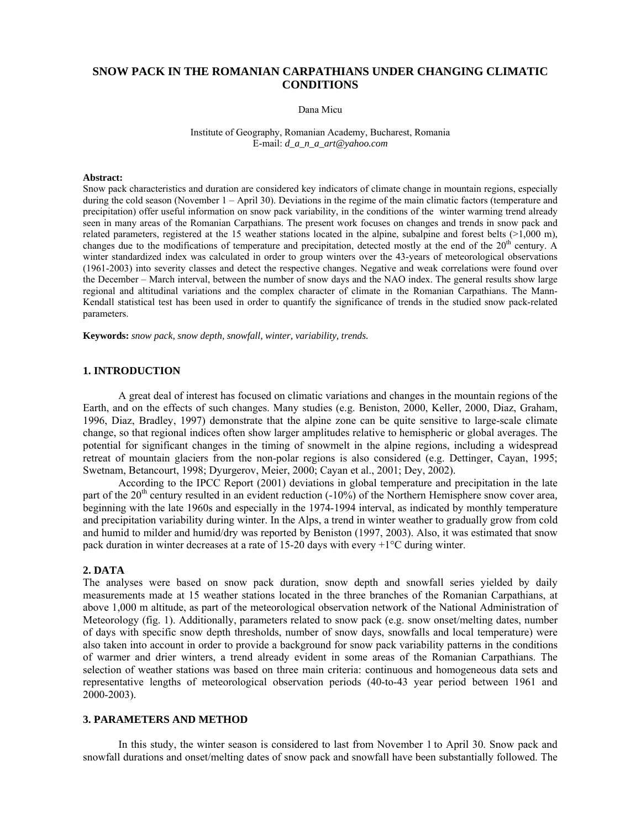# **SNOW PACK IN THE ROMANIAN CARPATHIANS UNDER CHANGING CLIMATIC CONDITIONS**

#### Dana Micu

#### Institute of Geography, Romanian Academy, Bucharest, Romania E-mail: *d\_a\_n\_a\_art@yahoo.com*

#### **Abstract:**

Snow pack characteristics and duration are considered key indicators of climate change in mountain regions, especially during the cold season (November 1 – April 30). Deviations in the regime of the main climatic factors (temperature and precipitation) offer useful information on snow pack variability, in the conditions of the winter warming trend already seen in many areas of the Romanian Carpathians. The present work focuses on changes and trends in snow pack and related parameters, registered at the 15 weather stations located in the alpine, subalpine and forest belts (>1,000 m), changes due to the modifications of temperature and precipitation, detected mostly at the end of the  $20<sup>th</sup>$  century. A winter standardized index was calculated in order to group winters over the 43-years of meteorological observations (1961-2003) into severity classes and detect the respective changes. Negative and weak correlations were found over the December – March interval, between the number of snow days and the NAO index. The general results show large regional and altitudinal variations and the complex character of climate in the Romanian Carpathians. The Mann-Kendall statistical test has been used in order to quantify the significance of trends in the studied snow pack-related parameters.

**Keywords:** *snow pack, snow depth, snowfall, winter, variability, trends.*

## **1. INTRODUCTION**

A great deal of interest has focused on climatic variations and changes in the mountain regions of the Earth, and on the effects of such changes. Many studies (e.g. Beniston, 2000, Keller, 2000, Diaz, Graham, 1996, Diaz, Bradley, 1997) demonstrate that the alpine zone can be quite sensitive to large-scale climate change, so that regional indices often show larger amplitudes relative to hemispheric or global averages. The potential for significant changes in the timing of snowmelt in the alpine regions, including a widespread retreat of mountain glaciers from the non-polar regions is also considered (e.g. Dettinger, Cayan, 1995; Swetnam, Betancourt, 1998; Dyurgerov, Meier, 2000; Cayan et al., 2001; Dey, 2002).

According to the IPCC Report (2001) deviations in global temperature and precipitation in the late part of the 20<sup>th</sup> century resulted in an evident reduction (-10%) of the Northern Hemisphere snow cover area, beginning with the late 1960s and especially in the 1974-1994 interval, as indicated by monthly temperature and precipitation variability during winter. In the Alps, a trend in winter weather to gradually grow from cold and humid to milder and humid/dry was reported by Beniston (1997, 2003). Also, it was estimated that snow pack duration in winter decreases at a rate of 15-20 days with every +1°C during winter.

# **2. DATA**

The analyses were based on snow pack duration, snow depth and snowfall series yielded by daily measurements made at 15 weather stations located in the three branches of the Romanian Carpathians, at above 1,000 m altitude, as part of the meteorological observation network of the National Administration of Meteorology (fig. 1). Additionally, parameters related to snow pack (e.g. snow onset/melting dates, number of days with specific snow depth thresholds, number of snow days, snowfalls and local temperature) were also taken into account in order to provide a background for snow pack variability patterns in the conditions of warmer and drier winters, a trend already evident in some areas of the Romanian Carpathians. The selection of weather stations was based on three main criteria: continuous and homogeneous data sets and representative lengths of meteorological observation periods (40-to-43 year period between 1961 and 2000-2003).

### **3. PARAMETERS AND METHOD**

In this study, the winter season is considered to last from November 1 to April 30. Snow pack and snowfall durations and onset/melting dates of snow pack and snowfall have been substantially followed. The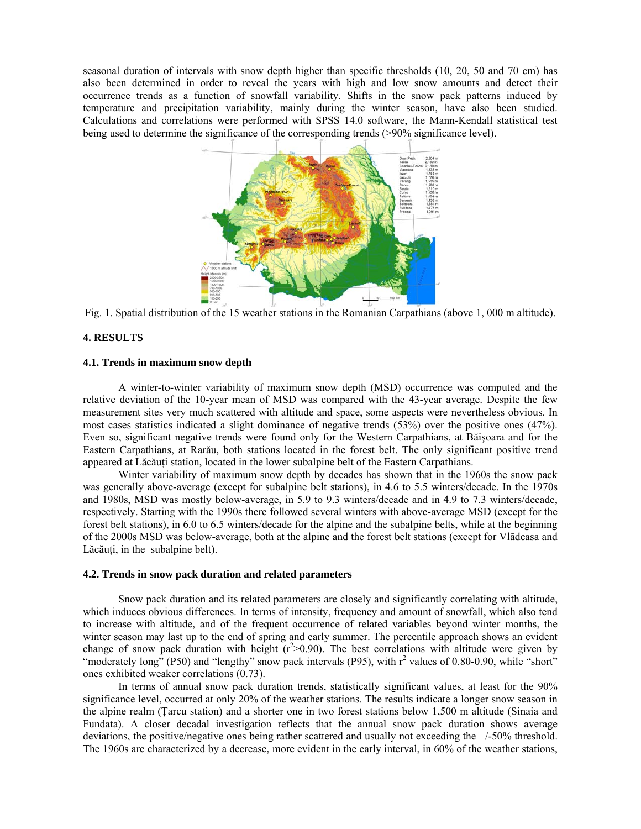seasonal duration of intervals with snow depth higher than specific thresholds (10, 20, 50 and 70 cm) has also been determined in order to reveal the years with high and low snow amounts and detect their occurrence trends as a function of snowfall variability. Shifts in the snow pack patterns induced by temperature and precipitation variability, mainly during the winter season, have also been studied. Calculations and correlations were performed with SPSS 14.0 software, the Mann-Kendall statistical test being used to determine the significance of the corresponding trends (>90% significance level).



Fig. 1. Spatial distribution of the 15 weather stations in the Romanian Carpathians (above 1, 000 m altitude).

## **4. RESULTS**

### **4.1. Trends in maximum snow depth**

A winter-to-winter variability of maximum snow depth (MSD) occurrence was computed and the relative deviation of the 10-year mean of MSD was compared with the 43-year average. Despite the few measurement sites very much scattered with altitude and space, some aspects were nevertheless obvious. In most cases statistics indicated a slight dominance of negative trends (53%) over the positive ones (47%). Even so, significant negative trends were found only for the Western Carpathians, at Băişoara and for the Eastern Carpathians, at Rarău, both stations located in the forest belt. The only significant positive trend appeared at Lăcăuti station, located in the lower subalpine belt of the Eastern Carpathians.

 Winter variability of maximum snow depth by decades has shown that in the 1960s the snow pack was generally above-average (except for subalpine belt stations), in 4.6 to 5.5 winters/decade. In the 1970s and 1980s, MSD was mostly below-average, in 5.9 to 9.3 winters/decade and in 4.9 to 7.3 winters/decade, respectively. Starting with the 1990s there followed several winters with above-average MSD (except for the forest belt stations), in 6.0 to 6.5 winters/decade for the alpine and the subalpine belts, while at the beginning of the 2000s MSD was below-average, both at the alpine and the forest belt stations (except for Vlădeasa and Lăcăuți, in the subalpine belt).

#### **4.2. Trends in snow pack duration and related parameters**

Snow pack duration and its related parameters are closely and significantly correlating with altitude, which induces obvious differences. In terms of intensity, frequency and amount of snowfall, which also tend to increase with altitude, and of the frequent occurrence of related variables beyond winter months, the winter season may last up to the end of spring and early summer. The percentile approach shows an evident change of snow pack duration with height  $(r^2>0.90)$ . The best correlations with altitude were given by "moderately long" (P50) and "lengthy" snow pack intervals (P95), with r<sup>2</sup> values of 0.80-0.90, while "short" ones exhibited weaker correlations (0.73).

 In terms of annual snow pack duration trends, statistically significant values, at least for the 90% significance level, occurred at only 20% of the weather stations. The results indicate a longer snow season in the alpine realm (Ţarcu station) and a shorter one in two forest stations below 1,500 m altitude (Sinaia and Fundata). A closer decadal investigation reflects that the annual snow pack duration shows average deviations, the positive/negative ones being rather scattered and usually not exceeding the +/-50% threshold. The 1960s are characterized by a decrease, more evident in the early interval, in 60% of the weather stations,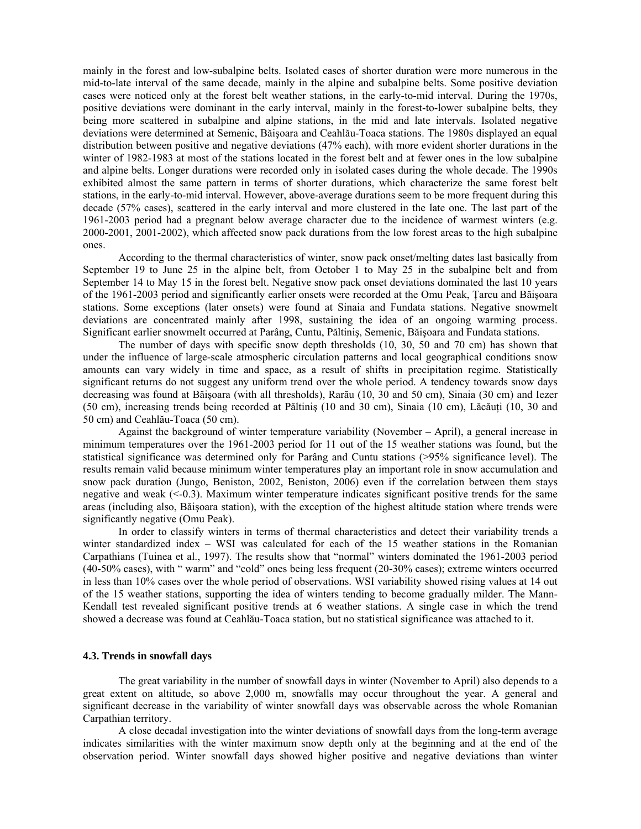mainly in the forest and low-subalpine belts. Isolated cases of shorter duration were more numerous in the mid-to-late interval of the same decade, mainly in the alpine and subalpine belts. Some positive deviation cases were noticed only at the forest belt weather stations, in the early-to-mid interval. During the 1970s, positive deviations were dominant in the early interval, mainly in the forest-to-lower subalpine belts, they being more scattered in subalpine and alpine stations, in the mid and late intervals. Isolated negative deviations were determined at Semenic, Băişoara and Ceahlău-Toaca stations. The 1980s displayed an equal distribution between positive and negative deviations (47% each), with more evident shorter durations in the winter of 1982-1983 at most of the stations located in the forest belt and at fewer ones in the low subalpine and alpine belts. Longer durations were recorded only in isolated cases during the whole decade. The 1990s exhibited almost the same pattern in terms of shorter durations, which characterize the same forest belt stations, in the early-to-mid interval. However, above-average durations seem to be more frequent during this decade (57% cases), scattered in the early interval and more clustered in the late one. The last part of the 1961-2003 period had a pregnant below average character due to the incidence of warmest winters (e.g. 2000-2001, 2001-2002), which affected snow pack durations from the low forest areas to the high subalpine ones.

According to the thermal characteristics of winter, snow pack onset/melting dates last basically from September 19 to June 25 in the alpine belt, from October 1 to May 25 in the subalpine belt and from September 14 to May 15 in the forest belt. Negative snow pack onset deviations dominated the last 10 years of the 1961-2003 period and significantly earlier onsets were recorded at the Omu Peak, Ţarcu and Băişoara stations. Some exceptions (later onsets) were found at Sinaia and Fundata stations. Negative snowmelt deviations are concentrated mainly after 1998, sustaining the idea of an ongoing warming process. Significant earlier snowmelt occurred at Parâng, Cuntu, Păltiniş, Semenic, Băişoara and Fundata stations.

 The number of days with specific snow depth thresholds (10, 30, 50 and 70 cm) has shown that under the influence of large-scale atmospheric circulation patterns and local geographical conditions snow amounts can vary widely in time and space, as a result of shifts in precipitation regime. Statistically significant returns do not suggest any uniform trend over the whole period. A tendency towards snow days decreasing was found at Băişoara (with all thresholds), Rarău (10, 30 and 50 cm), Sinaia (30 cm) and Iezer (50 cm), increasing trends being recorded at Păltiniş (10 and 30 cm), Sinaia (10 cm), Lăcăuţi (10, 30 and 50 cm) and Ceahlău-Toaca (50 cm).

 Against the background of winter temperature variability (November – April), a general increase in minimum temperatures over the 1961-2003 period for 11 out of the 15 weather stations was found, but the statistical significance was determined only for Parâng and Cuntu stations (>95% significance level). The results remain valid because minimum winter temperatures play an important role in snow accumulation and snow pack duration (Jungo, Beniston, 2002, Beniston, 2006) even if the correlation between them stays negative and weak (<-0.3). Maximum winter temperature indicates significant positive trends for the same areas (including also, Băişoara station), with the exception of the highest altitude station where trends were significantly negative (Omu Peak).

 In order to classify winters in terms of thermal characteristics and detect their variability trends a winter standardized index – WSI was calculated for each of the 15 weather stations in the Romanian Carpathians (Tuinea et al., 1997). The results show that "normal" winters dominated the 1961-2003 period (40-50% cases), with " warm" and "cold" ones being less frequent (20-30% cases); extreme winters occurred in less than 10% cases over the whole period of observations. WSI variability showed rising values at 14 out of the 15 weather stations, supporting the idea of winters tending to become gradually milder. The Mann-Kendall test revealed significant positive trends at 6 weather stations. A single case in which the trend showed a decrease was found at Ceahlău-Toaca station, but no statistical significance was attached to it.

## **4.3. Trends in snowfall days**

The great variability in the number of snowfall days in winter (November to April) also depends to a great extent on altitude, so above 2,000 m, snowfalls may occur throughout the year. A general and significant decrease in the variability of winter snowfall days was observable across the whole Romanian Carpathian territory.

A close decadal investigation into the winter deviations of snowfall days from the long-term average indicates similarities with the winter maximum snow depth only at the beginning and at the end of the observation period. Winter snowfall days showed higher positive and negative deviations than winter